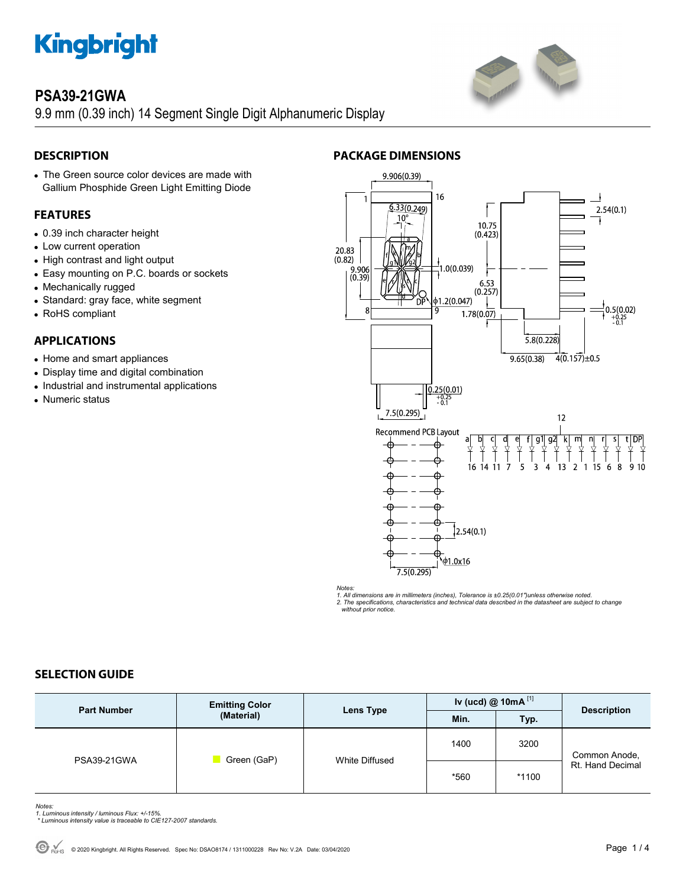

# **PSA39-21GWA**

9.9 mm (0.39 inch) 14 Segment Single Digit Alphanumeric Display

# **DESCRIPTION**

 The Green source color devices are made with Gallium Phosphide Green Light Emitting Diode

## **FEATURES**

- 0.39 inch character height
- Low current operation
- High contrast and light output
- Easy mounting on P.C. boards or sockets
- Mechanically rugged
- Standard: gray face, white segment
- RoHS compliant

### **APPLICATIONS**

- Home and smart appliances
- Display time and digital combination
- Industrial and instrumental applications
- Numeric status



*Notes: 1. All dimensions are in millimeters (inches), Tolerance is ±0.25(0.01")unless otherwise noted. 2. The specifications, characteristics and technical data described in the datasheet are subject to change without prior notice.* 

### **SELECTION GUIDE**

| <b>Part Number</b> | <b>Emitting Color</b><br>(Material) | Lens Type      | Iv (ucd) @ 10mA $^{[1]}$ |         | <b>Description</b>                |
|--------------------|-------------------------------------|----------------|--------------------------|---------|-----------------------------------|
|                    |                                     |                | Min.                     | Typ.    |                                   |
| PSA39-21GWA        | Green (GaP)                         | White Diffused | 1400                     | 3200    | Common Anode,<br>Rt. Hand Decimal |
|                    |                                     |                | *560                     | $*1100$ |                                   |

- *Notes: 1. Luminous intensity / luminous Flux: +/-15%.*
- *\* Luminous intensity value is traceable to CIE127-2007 standards.*

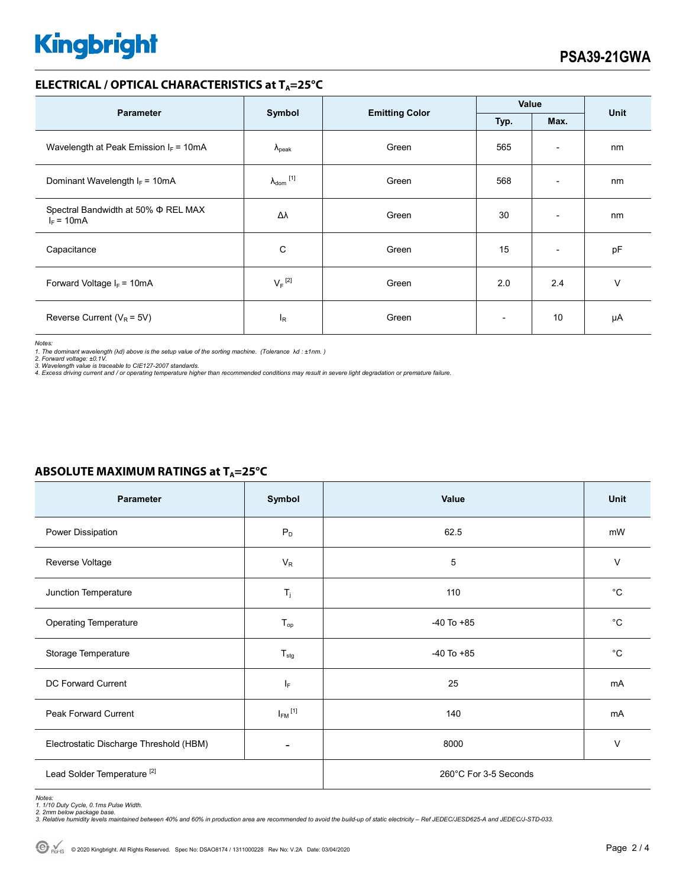# **Kingbright**

### **ELECTRICAL / OPTICAL CHARACTERISTICS at TA=25°C**

| <b>Parameter</b>                                         | Symbol                     | <b>Emitting Color</b> | Value                    |                              | <b>Unit</b> |
|----------------------------------------------------------|----------------------------|-----------------------|--------------------------|------------------------------|-------------|
|                                                          |                            |                       | Typ.                     | Max.                         |             |
| Wavelength at Peak Emission $I_F = 10mA$                 | $\Lambda_{\rm peak}$       | Green                 | 565                      | $\overline{\phantom{a}}$     | nm          |
| Dominant Wavelength $I_F = 10mA$                         | $\lambda_{\text{dom}}$ [1] | Green                 | 568                      | $\overline{\phantom{0}}$     | nm          |
| Spectral Bandwidth at 50% $\Phi$ REL MAX<br>$I_F = 10mA$ | Δλ                         | Green                 | 30                       | $\qquad \qquad \blacksquare$ | nm          |
| Capacitance                                              | C                          | Green                 | 15                       | $\overline{\phantom{a}}$     | pF          |
| Forward Voltage $I_F$ = 10mA                             | $V_F$ <sup>[2]</sup>       | Green                 | 2.0                      | 2.4                          | v           |
| Reverse Current ( $V_R$ = 5V)                            | $I_R$                      | Green                 | $\overline{\phantom{0}}$ | 10                           | μA          |

*Notes:* 

*1. The dominant wavelength (*λ*d) above is the setup value of the sorting machine. (Tolerance* λ*d : ±1nm. )* 

2. Forward voltage: ±0.1V.<br>3. Wavelength value is traceable to CIE127-2007 standards.<br>4. Excess driving current and / or operating temperature higher than recommended conditions may result in severe light degradation or pr

# Parameter Symbol Value Unit Power Dissipation **Power Dissipation** Power Dissipation **Power Dissipation** Power Power Power Power Power Power Power Power Power Power Power Power Power Power Power Power Power Power Power Power Power Power Power Power P Reverse Voltage  $V$  and  $V_{\rm R}$  is the verse voltage in the value of  $V_{\rm R}$  is the value of  $V_{\rm R}$  . In the value of  $V_{\rm R}$ Junction Temperature **Times of Contract Contract Contract Contract Contract Contract Contract Contract Contract Contract Contract Contract Contract Contract Contract Contract Contract Contract Contract Contract Contract Co** Operating Temperature and the Contract of T<sub>op</sub> Contract 10 To +85 and the Contract of Contract 10 To +85 contract 10 To +85 Storage Temperature The Contract of Testa and Testa and Testa and Testa and Testa and Testa and Testa and Testa and Testa and Testa and Testa and Testa and Testa and Testa and Testa and Testa and Testa and Testa and Testa DC Forward Current  $I_F$  and  $I_F$  and  $I_F$  25 mA Peak Forward Current  $I_{FM}$ <sup>[1]</sup>  $[1]$  mA Electrostatic Discharge Threshold (HBM)  $\overline{a}$  and  $\overline{a}$  and  $\overline{a}$  and  $\overline{a}$  and  $\overline{a}$  and  $\overline{a}$  and  $\overline{a}$  and  $\overline{a}$  and  $\overline{a}$  and  $\overline{a}$  and  $\overline{a}$  and  $\overline{a}$  and  $\overline{a}$  and  $\overline{a}$  and Lead Solder Temperature<sup>[2]</sup> 260°C For 3-5 Seconds

# **ABSOLUTE MAXIMUM RATINGS at TA=25°C**

*Notes: 1. 1/10 Duty Cycle, 0.1ms Pulse Width.* 

*2. 2mm below package base. 3. Relative humidity levels maintained between 40% and 60% in production area are recommended to avoid the build-up of static electricity – Ref JEDEC/JESD625-A and JEDEC/J-STD-033.*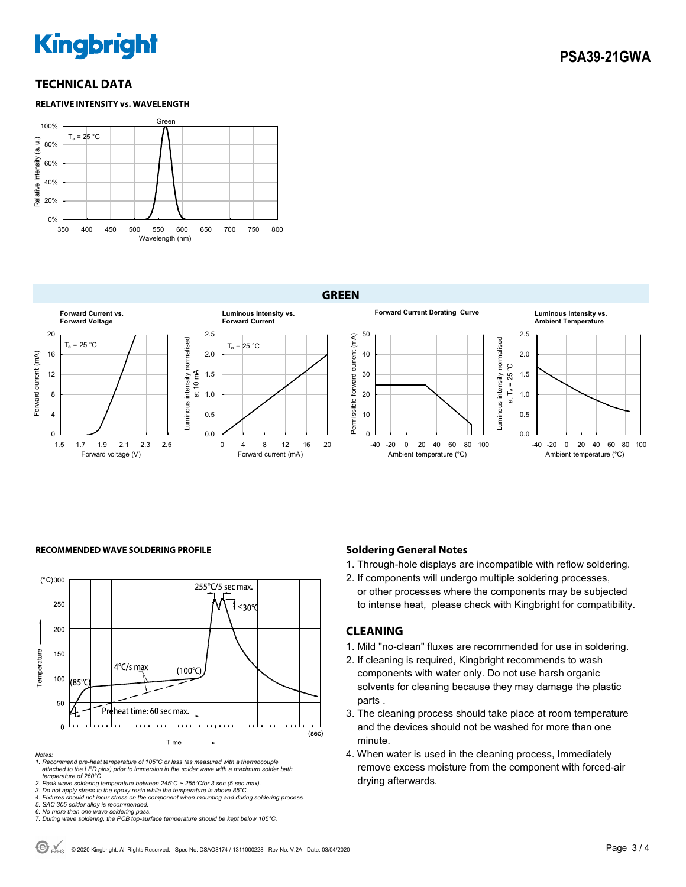# **Kingbright**

### **TECHNICAL DATA**

#### **RELATIVE INTENSITY vs. WAVELENGTH**



**GREEN**



#### **RECOMMENDED WAVE SOLDERING PROFILE <b>A CONDUCT A CONDUCT SOLDERING PROFILE Soldering General Notes**



*Notes:* 

*1. Recommend pre-heat temperature of 105°C or less (as measured with a thermocouple attached to the LED pins) prior to immersion in the solder wave with a maximum solder bath temperature of 260°C* 

2. Peak wave soldering temperature between 245°C ~ 255°Cfor 3 sec (5 sec max).<br>3. Do not apply stress to the epoxy resin while the temperature is above 85°C.<br>4. Fixtures should not incur stress on the component when mounti

- 1. Through-hole displays are incompatible with reflow soldering.
- 2. If components will undergo multiple soldering processes, or other processes where the components may be subjected to intense heat, please check with Kingbright for compatibility.

#### **CLEANING**

- 1. Mild "no-clean" fluxes are recommended for use in soldering.
- 2. If cleaning is required, Kingbright recommends to wash components with water only. Do not use harsh organic solvents for cleaning because they may damage the plastic parts .
- 3. The cleaning process should take place at room temperature and the devices should not be washed for more than one minute.
- 4. When water is used in the cleaning process, Immediately remove excess moisture from the component with forced-air drying afterwards.

*<sup>5.</sup> SAC 305 solder alloy is recommended.* 

*<sup>6.</sup> No more than one wave soldering pass. 7. During wave soldering, the PCB top-surface temperature should be kept below 105°C.*